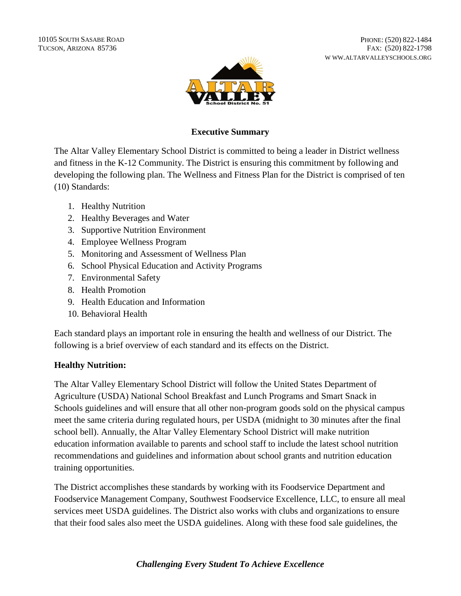10105 SOUTH SASABE ROAD TUCSON, ARIZONA 85736

PHONE: (520) 822-1484 FAX: (520) 822-1798 W WW.ALTARVALLEYSCHOOLS.ORG



## **Executive Summary**

The Altar Valley Elementary School District is committed to being a leader in District wellness and fitness in the K-12 Community. The District is ensuring this commitment by following and developing the following plan. The Wellness and Fitness Plan for the District is comprised of ten (10) Standards:

- 1. Healthy Nutrition
- 2. Healthy Beverages and Water
- 3. Supportive Nutrition Environment
- 4. Employee Wellness Program
- 5. Monitoring and Assessment of Wellness Plan
- 6. School Physical Education and Activity Programs
- 7. Environmental Safety
- 8. Health Promotion
- 9. Health Education and Information
- 10. Behavioral Health

Each standard plays an important role in ensuring the health and wellness of our District. The following is a brief overview of each standard and its effects on the District.

#### **Healthy Nutrition:**

The Altar Valley Elementary School District will follow the United States Department of Agriculture (USDA) National School Breakfast and Lunch Programs and Smart Snack in Schools guidelines and will ensure that all other non-program goods sold on the physical campus meet the same criteria during regulated hours, per USDA (midnight to 30 minutes after the final school bell). Annually, the Altar Valley Elementary School District will make nutrition education information available to parents and school staff to include the latest school nutrition recommendations and guidelines and information about school grants and nutrition education training opportunities.

The District accomplishes these standards by working with its Foodservice Department and Foodservice Management Company, Southwest Foodservice Excellence, LLC, to ensure all meal services meet USDA guidelines. The District also works with clubs and organizations to ensure that their food sales also meet the USDA guidelines. Along with these food sale guidelines, the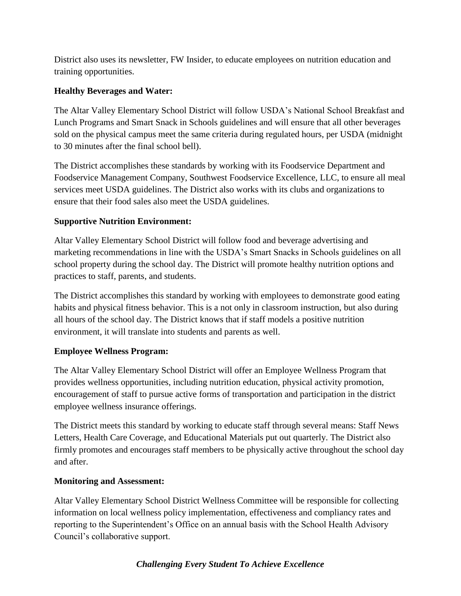District also uses its newsletter, FW Insider, to educate employees on nutrition education and training opportunities.

# **Healthy Beverages and Water:**

The Altar Valley Elementary School District will follow USDA's National School Breakfast and Lunch Programs and Smart Snack in Schools guidelines and will ensure that all other beverages sold on the physical campus meet the same criteria during regulated hours, per USDA (midnight to 30 minutes after the final school bell).

The District accomplishes these standards by working with its Foodservice Department and Foodservice Management Company, Southwest Foodservice Excellence, LLC, to ensure all meal services meet USDA guidelines. The District also works with its clubs and organizations to ensure that their food sales also meet the USDA guidelines.

# **Supportive Nutrition Environment:**

Altar Valley Elementary School District will follow food and beverage advertising and marketing recommendations in line with the USDA's Smart Snacks in Schools guidelines on all school property during the school day. The District will promote healthy nutrition options and practices to staff, parents, and students.

The District accomplishes this standard by working with employees to demonstrate good eating habits and physical fitness behavior. This is a not only in classroom instruction, but also during all hours of the school day. The District knows that if staff models a positive nutrition environment, it will translate into students and parents as well.

# **Employee Wellness Program:**

The Altar Valley Elementary School District will offer an Employee Wellness Program that provides wellness opportunities, including nutrition education, physical activity promotion, encouragement of staff to pursue active forms of transportation and participation in the district employee wellness insurance offerings.

The District meets this standard by working to educate staff through several means: Staff News Letters, Health Care Coverage, and Educational Materials put out quarterly. The District also firmly promotes and encourages staff members to be physically active throughout the school day and after.

#### **Monitoring and Assessment:**

Altar Valley Elementary School District Wellness Committee will be responsible for collecting information on local wellness policy implementation, effectiveness and compliancy rates and reporting to the Superintendent's Office on an annual basis with the School Health Advisory Council's collaborative support.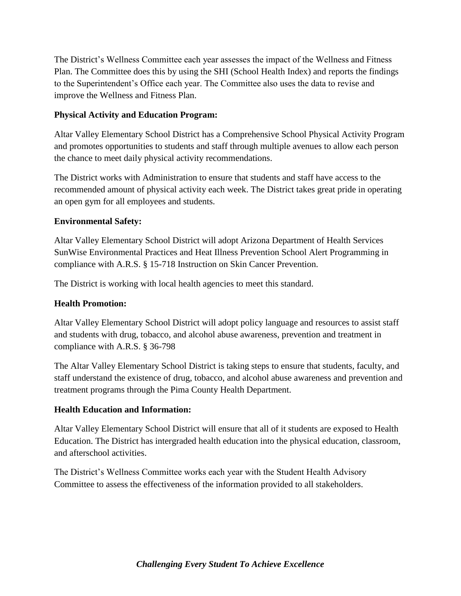The District's Wellness Committee each year assesses the impact of the Wellness and Fitness Plan. The Committee does this by using the SHI (School Health Index) and reports the findings to the Superintendent's Office each year. The Committee also uses the data to revise and improve the Wellness and Fitness Plan.

## **Physical Activity and Education Program:**

Altar Valley Elementary School District has a Comprehensive School Physical Activity Program and promotes opportunities to students and staff through multiple avenues to allow each person the chance to meet daily physical activity recommendations.

The District works with Administration to ensure that students and staff have access to the recommended amount of physical activity each week. The District takes great pride in operating an open gym for all employees and students.

## **Environmental Safety:**

Altar Valley Elementary School District will adopt Arizona Department of Health Services SunWise Environmental Practices and Heat Illness Prevention School Alert Programming in compliance with A.R.S. § 15-718 Instruction on Skin Cancer Prevention.

The District is working with local health agencies to meet this standard.

## **Health Promotion:**

Altar Valley Elementary School District will adopt policy language and resources to assist staff and students with drug, tobacco, and alcohol abuse awareness, prevention and treatment in compliance with A.R.S. § 36-798

The Altar Valley Elementary School District is taking steps to ensure that students, faculty, and staff understand the existence of drug, tobacco, and alcohol abuse awareness and prevention and treatment programs through the Pima County Health Department.

#### **Health Education and Information:**

Altar Valley Elementary School District will ensure that all of it students are exposed to Health Education. The District has intergraded health education into the physical education, classroom, and afterschool activities.

The District's Wellness Committee works each year with the Student Health Advisory Committee to assess the effectiveness of the information provided to all stakeholders.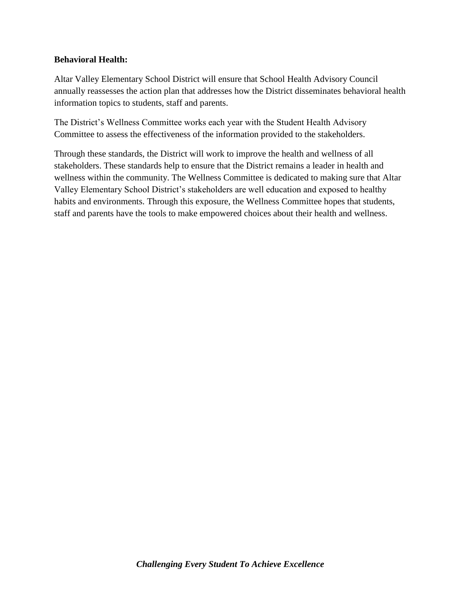#### **Behavioral Health:**

Altar Valley Elementary School District will ensure that School Health Advisory Council annually reassesses the action plan that addresses how the District disseminates behavioral health information topics to students, staff and parents.

The District's Wellness Committee works each year with the Student Health Advisory Committee to assess the effectiveness of the information provided to the stakeholders.

Through these standards, the District will work to improve the health and wellness of all stakeholders. These standards help to ensure that the District remains a leader in health and wellness within the community. The Wellness Committee is dedicated to making sure that Altar Valley Elementary School District's stakeholders are well education and exposed to healthy habits and environments. Through this exposure, the Wellness Committee hopes that students, staff and parents have the tools to make empowered choices about their health and wellness.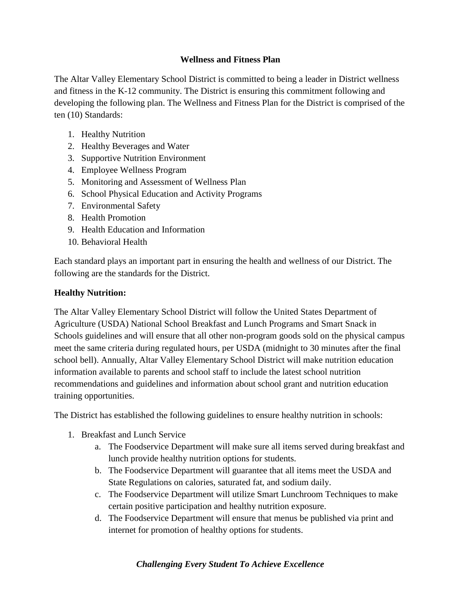## **Wellness and Fitness Plan**

The Altar Valley Elementary School District is committed to being a leader in District wellness and fitness in the K-12 community. The District is ensuring this commitment following and developing the following plan. The Wellness and Fitness Plan for the District is comprised of the ten (10) Standards:

- 1. Healthy Nutrition
- 2. Healthy Beverages and Water
- 3. Supportive Nutrition Environment
- 4. Employee Wellness Program
- 5. Monitoring and Assessment of Wellness Plan
- 6. School Physical Education and Activity Programs
- 7. Environmental Safety
- 8. Health Promotion
- 9. Health Education and Information
- 10. Behavioral Health

Each standard plays an important part in ensuring the health and wellness of our District. The following are the standards for the District.

## **Healthy Nutrition:**

The Altar Valley Elementary School District will follow the United States Department of Agriculture (USDA) National School Breakfast and Lunch Programs and Smart Snack in Schools guidelines and will ensure that all other non-program goods sold on the physical campus meet the same criteria during regulated hours, per USDA (midnight to 30 minutes after the final school bell). Annually, Altar Valley Elementary School District will make nutrition education information available to parents and school staff to include the latest school nutrition recommendations and guidelines and information about school grant and nutrition education training opportunities.

The District has established the following guidelines to ensure healthy nutrition in schools:

- 1. Breakfast and Lunch Service
	- a. The Foodservice Department will make sure all items served during breakfast and lunch provide healthy nutrition options for students.
	- b. The Foodservice Department will guarantee that all items meet the USDA and State Regulations on calories, saturated fat, and sodium daily.
	- c. The Foodservice Department will utilize Smart Lunchroom Techniques to make certain positive participation and healthy nutrition exposure.
	- d. The Foodservice Department will ensure that menus be published via print and internet for promotion of healthy options for students.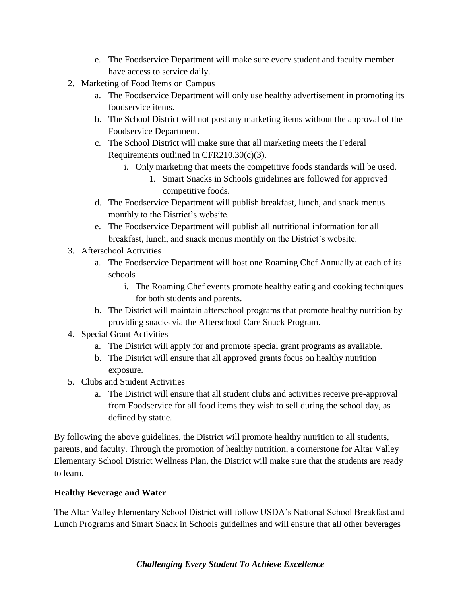- e. The Foodservice Department will make sure every student and faculty member have access to service daily.
- 2. Marketing of Food Items on Campus
	- a. The Foodservice Department will only use healthy advertisement in promoting its foodservice items.
	- b. The School District will not post any marketing items without the approval of the Foodservice Department.
	- c. The School District will make sure that all marketing meets the Federal Requirements outlined in CFR210.30(c)(3).
		- i. Only marketing that meets the competitive foods standards will be used.
			- 1. Smart Snacks in Schools guidelines are followed for approved competitive foods.
	- d. The Foodservice Department will publish breakfast, lunch, and snack menus monthly to the District's website.
	- e. The Foodservice Department will publish all nutritional information for all breakfast, lunch, and snack menus monthly on the District's website.
- 3. Afterschool Activities
	- a. The Foodservice Department will host one Roaming Chef Annually at each of its schools
		- i. The Roaming Chef events promote healthy eating and cooking techniques for both students and parents.
	- b. The District will maintain afterschool programs that promote healthy nutrition by providing snacks via the Afterschool Care Snack Program.
- 4. Special Grant Activities
	- a. The District will apply for and promote special grant programs as available.
	- b. The District will ensure that all approved grants focus on healthy nutrition exposure.
- 5. Clubs and Student Activities
	- a. The District will ensure that all student clubs and activities receive pre-approval from Foodservice for all food items they wish to sell during the school day, as defined by statue.

By following the above guidelines, the District will promote healthy nutrition to all students, parents, and faculty. Through the promotion of healthy nutrition, a cornerstone for Altar Valley Elementary School District Wellness Plan, the District will make sure that the students are ready to learn.

# **Healthy Beverage and Water**

The Altar Valley Elementary School District will follow USDA's National School Breakfast and Lunch Programs and Smart Snack in Schools guidelines and will ensure that all other beverages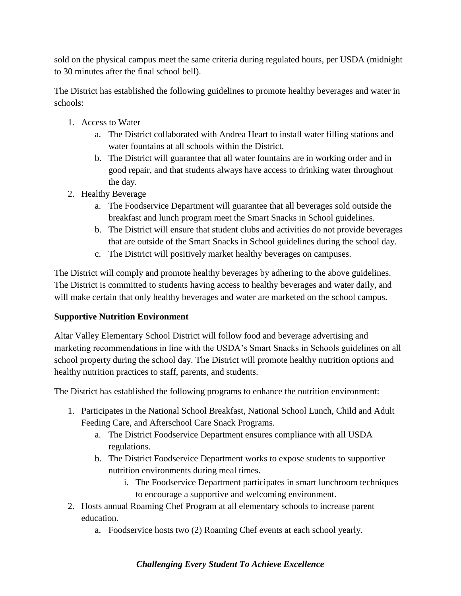sold on the physical campus meet the same criteria during regulated hours, per USDA (midnight to 30 minutes after the final school bell).

The District has established the following guidelines to promote healthy beverages and water in schools:

- 1. Access to Water
	- a. The District collaborated with Andrea Heart to install water filling stations and water fountains at all schools within the District.
	- b. The District will guarantee that all water fountains are in working order and in good repair, and that students always have access to drinking water throughout the day.
- 2. Healthy Beverage
	- a. The Foodservice Department will guarantee that all beverages sold outside the breakfast and lunch program meet the Smart Snacks in School guidelines.
	- b. The District will ensure that student clubs and activities do not provide beverages that are outside of the Smart Snacks in School guidelines during the school day.
	- c. The District will positively market healthy beverages on campuses.

The District will comply and promote healthy beverages by adhering to the above guidelines. The District is committed to students having access to healthy beverages and water daily, and will make certain that only healthy beverages and water are marketed on the school campus.

# **Supportive Nutrition Environment**

Altar Valley Elementary School District will follow food and beverage advertising and marketing recommendations in line with the USDA's Smart Snacks in Schools guidelines on all school property during the school day. The District will promote healthy nutrition options and healthy nutrition practices to staff, parents, and students.

The District has established the following programs to enhance the nutrition environment:

- 1. Participates in the National School Breakfast, National School Lunch, Child and Adult Feeding Care, and Afterschool Care Snack Programs.
	- a. The District Foodservice Department ensures compliance with all USDA regulations.
	- b. The District Foodservice Department works to expose students to supportive nutrition environments during meal times.
		- i. The Foodservice Department participates in smart lunchroom techniques to encourage a supportive and welcoming environment.
- 2. Hosts annual Roaming Chef Program at all elementary schools to increase parent education.
	- a. Foodservice hosts two (2) Roaming Chef events at each school yearly.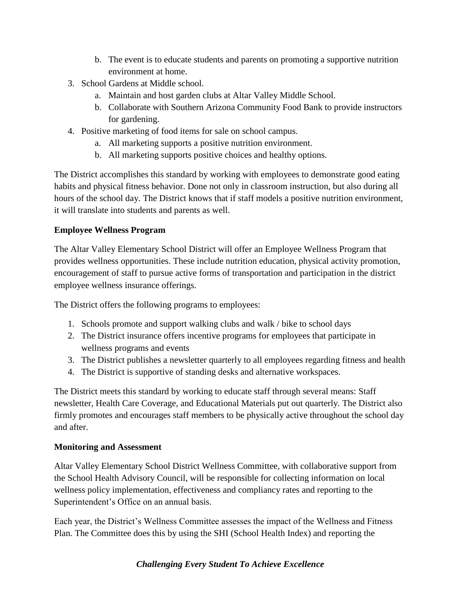- b. The event is to educate students and parents on promoting a supportive nutrition environment at home.
- 3. School Gardens at Middle school.
	- a. Maintain and host garden clubs at Altar Valley Middle School.
	- b. Collaborate with Southern Arizona Community Food Bank to provide instructors for gardening.
- 4. Positive marketing of food items for sale on school campus.
	- a. All marketing supports a positive nutrition environment.
	- b. All marketing supports positive choices and healthy options.

The District accomplishes this standard by working with employees to demonstrate good eating habits and physical fitness behavior. Done not only in classroom instruction, but also during all hours of the school day. The District knows that if staff models a positive nutrition environment, it will translate into students and parents as well.

## **Employee Wellness Program**

The Altar Valley Elementary School District will offer an Employee Wellness Program that provides wellness opportunities. These include nutrition education, physical activity promotion, encouragement of staff to pursue active forms of transportation and participation in the district employee wellness insurance offerings.

The District offers the following programs to employees:

- 1. Schools promote and support walking clubs and walk / bike to school days
- 2. The District insurance offers incentive programs for employees that participate in wellness programs and events
- 3. The District publishes a newsletter quarterly to all employees regarding fitness and health
- 4. The District is supportive of standing desks and alternative workspaces.

The District meets this standard by working to educate staff through several means: Staff newsletter, Health Care Coverage, and Educational Materials put out quarterly. The District also firmly promotes and encourages staff members to be physically active throughout the school day and after.

#### **Monitoring and Assessment**

Altar Valley Elementary School District Wellness Committee, with collaborative support from the School Health Advisory Council, will be responsible for collecting information on local wellness policy implementation, effectiveness and compliancy rates and reporting to the Superintendent's Office on an annual basis.

Each year, the District's Wellness Committee assesses the impact of the Wellness and Fitness Plan. The Committee does this by using the SHI (School Health Index) and reporting the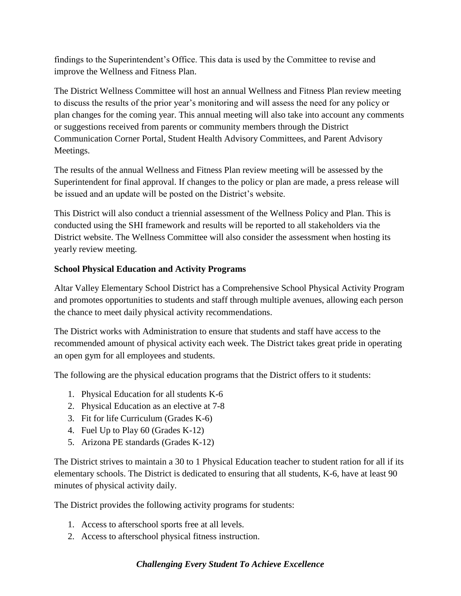findings to the Superintendent's Office. This data is used by the Committee to revise and improve the Wellness and Fitness Plan.

The District Wellness Committee will host an annual Wellness and Fitness Plan review meeting to discuss the results of the prior year's monitoring and will assess the need for any policy or plan changes for the coming year. This annual meeting will also take into account any comments or suggestions received from parents or community members through the District Communication Corner Portal, Student Health Advisory Committees, and Parent Advisory Meetings.

The results of the annual Wellness and Fitness Plan review meeting will be assessed by the Superintendent for final approval. If changes to the policy or plan are made, a press release will be issued and an update will be posted on the District's website.

This District will also conduct a triennial assessment of the Wellness Policy and Plan. This is conducted using the SHI framework and results will be reported to all stakeholders via the District website. The Wellness Committee will also consider the assessment when hosting its yearly review meeting.

# **School Physical Education and Activity Programs**

Altar Valley Elementary School District has a Comprehensive School Physical Activity Program and promotes opportunities to students and staff through multiple avenues, allowing each person the chance to meet daily physical activity recommendations.

The District works with Administration to ensure that students and staff have access to the recommended amount of physical activity each week. The District takes great pride in operating an open gym for all employees and students.

The following are the physical education programs that the District offers to it students:

- 1. Physical Education for all students K-6
- 2. Physical Education as an elective at 7-8
- 3. Fit for life Curriculum (Grades K-6)
- 4. Fuel Up to Play 60 (Grades K-12)
- 5. Arizona PE standards (Grades K-12)

The District strives to maintain a 30 to 1 Physical Education teacher to student ration for all if its elementary schools. The District is dedicated to ensuring that all students, K-6, have at least 90 minutes of physical activity daily.

The District provides the following activity programs for students:

- 1. Access to afterschool sports free at all levels.
- 2. Access to afterschool physical fitness instruction.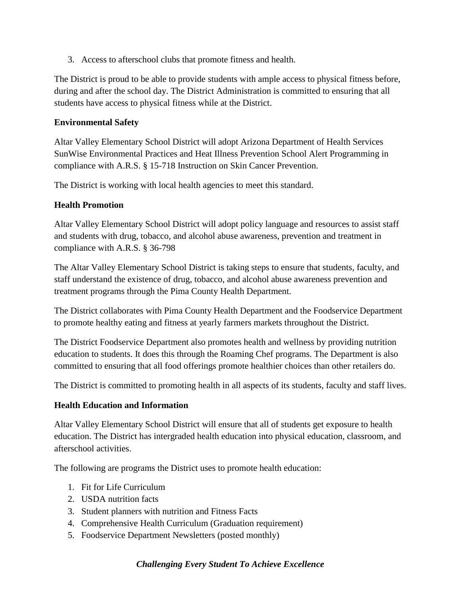3. Access to afterschool clubs that promote fitness and health.

The District is proud to be able to provide students with ample access to physical fitness before, during and after the school day. The District Administration is committed to ensuring that all students have access to physical fitness while at the District.

#### **Environmental Safety**

Altar Valley Elementary School District will adopt Arizona Department of Health Services SunWise Environmental Practices and Heat Illness Prevention School Alert Programming in compliance with A.R.S. § 15-718 Instruction on Skin Cancer Prevention.

The District is working with local health agencies to meet this standard.

## **Health Promotion**

Altar Valley Elementary School District will adopt policy language and resources to assist staff and students with drug, tobacco, and alcohol abuse awareness, prevention and treatment in compliance with A.R.S. § 36-798

The Altar Valley Elementary School District is taking steps to ensure that students, faculty, and staff understand the existence of drug, tobacco, and alcohol abuse awareness prevention and treatment programs through the Pima County Health Department.

The District collaborates with Pima County Health Department and the Foodservice Department to promote healthy eating and fitness at yearly farmers markets throughout the District.

The District Foodservice Department also promotes health and wellness by providing nutrition education to students. It does this through the Roaming Chef programs. The Department is also committed to ensuring that all food offerings promote healthier choices than other retailers do.

The District is committed to promoting health in all aspects of its students, faculty and staff lives.

#### **Health Education and Information**

Altar Valley Elementary School District will ensure that all of students get exposure to health education. The District has intergraded health education into physical education, classroom, and afterschool activities.

The following are programs the District uses to promote health education:

- 1. Fit for Life Curriculum
- 2. USDA nutrition facts
- 3. Student planners with nutrition and Fitness Facts
- 4. Comprehensive Health Curriculum (Graduation requirement)
- 5. Foodservice Department Newsletters (posted monthly)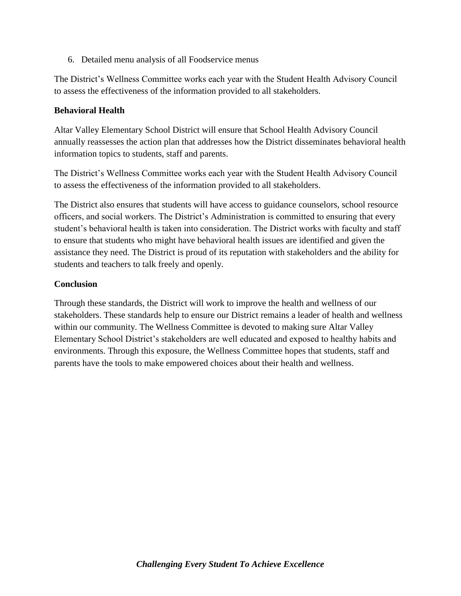6. Detailed menu analysis of all Foodservice menus

The District's Wellness Committee works each year with the Student Health Advisory Council to assess the effectiveness of the information provided to all stakeholders.

#### **Behavioral Health**

Altar Valley Elementary School District will ensure that School Health Advisory Council annually reassesses the action plan that addresses how the District disseminates behavioral health information topics to students, staff and parents.

The District's Wellness Committee works each year with the Student Health Advisory Council to assess the effectiveness of the information provided to all stakeholders.

The District also ensures that students will have access to guidance counselors, school resource officers, and social workers. The District's Administration is committed to ensuring that every student's behavioral health is taken into consideration. The District works with faculty and staff to ensure that students who might have behavioral health issues are identified and given the assistance they need. The District is proud of its reputation with stakeholders and the ability for students and teachers to talk freely and openly.

#### **Conclusion**

Through these standards, the District will work to improve the health and wellness of our stakeholders. These standards help to ensure our District remains a leader of health and wellness within our community. The Wellness Committee is devoted to making sure Altar Valley Elementary School District's stakeholders are well educated and exposed to healthy habits and environments. Through this exposure, the Wellness Committee hopes that students, staff and parents have the tools to make empowered choices about their health and wellness.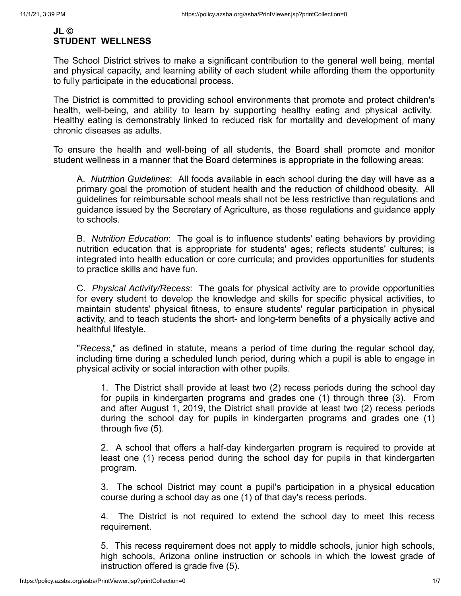## **JL © STUDENT WELLNESS**

The School District strives to make a significant contribution to the general well being, mental and physical capacity, and learning ability of each student while affording them the opportunity to fully participate in the educational process.

The District is committed to providing school environments that promote and protect children's health, well-being, and ability to learn by supporting healthy eating and physical activity. Healthy eating is demonstrably linked to reduced risk for mortality and development of many chronic diseases as adults.

To ensure the health and well-being of all students, the Board shall promote and monitor student wellness in a manner that the Board determines is appropriate in the following areas:

A. *Nutrition Guidelines*: All foods available in each school during the day will have as a primary goal the promotion of student health and the reduction of childhood obesity. All guidelines for reimbursable school meals shall not be less restrictive than regulations and guidance issued by the Secretary of Agriculture, as those regulations and guidance apply to schools.

B. *Nutrition Education*: The goal is to influence students' eating behaviors by providing nutrition education that is appropriate for students' ages; reflects students' cultures; is integrated into health education or core curricula; and provides opportunities for students to practice skills and have fun.

C. *Physical Activity/Recess*: The goals for physical activity are to provide opportunities for every student to develop the knowledge and skills for specific physical activities, to maintain students' physical fitness, to ensure students' regular participation in physical activity, and to teach students the short- and long-term benefits of a physically active and healthful lifestyle.

"*Recess*," as defined in statute, means a period of time during the regular school day, including time during a scheduled lunch period, during which a pupil is able to engage in physical activity or social interaction with other pupils.

1. The District shall provide at least two (2) recess periods during the school day for pupils in kindergarten programs and grades one (1) through three (3). From and after August 1, 2019, the District shall provide at least two (2) recess periods during the school day for pupils in kindergarten programs and grades one (1) through five (5).

2. A school that offers a half-day kindergarten program is required to provide at least one (1) recess period during the school day for pupils in that kindergarten program.

3. The school District may count a pupil's participation in a physical education course during a school day as one (1) of that day's recess periods.

4. The District is not required to extend the school day to meet this recess requirement.

5. This recess requirement does not apply to middle schools, junior high schools, high schools, Arizona online instruction or schools in which the lowest grade of instruction offered is grade five (5).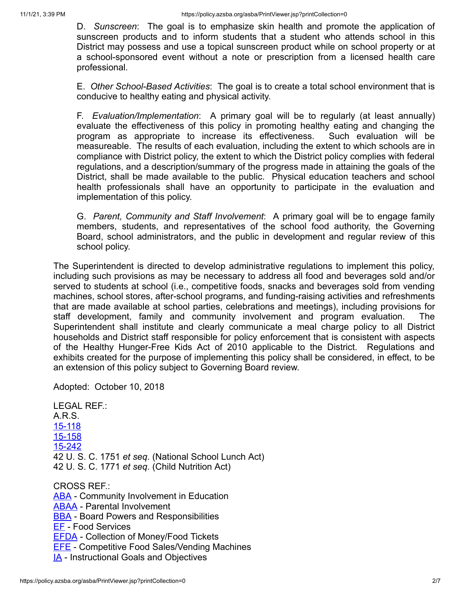D. *Sunscreen*: The goal is to emphasize skin health and promote the application of sunscreen products and to inform students that a student who attends school in this District may possess and use a topical sunscreen product while on school property or at a school-sponsored event without a note or prescription from a licensed health care professional.

E. *Other School-Based Activities*: The goal is to create a total school environment that is conducive to healthy eating and physical activity.

F. *Evaluation/Implementation*: A primary goal will be to regularly (at least annually) evaluate the effectiveness of this policy in promoting healthy eating and changing the program as appropriate to increase its effectiveness. Such evaluation will be measureable. The results of each evaluation, including the extent to which schools are in compliance with District policy, the extent to which the District policy complies with federal regulations, and a description/summary of the progress made in attaining the goals of the District, shall be made available to the public. Physical education teachers and school health professionals shall have an opportunity to participate in the evaluation and implementation of this policy.

G. *Parent, Community and Staff Involvement*: A primary goal will be to engage family members, students, and representatives of the school food authority, the Governing Board, school administrators, and the public in development and regular review of this school policy.

The Superintendent is directed to develop administrative regulations to implement this policy, including such provisions as may be necessary to address all food and beverages sold and/or served to students at school (i.e., competitive foods, snacks and beverages sold from vending machines, school stores, after-school programs, and funding-raising activities and refreshments that are made available at school parties, celebrations and meetings), including provisions for staff development, family and community involvement and program evaluation. The Superintendent shall institute and clearly communicate a meal charge policy to all District households and District staff responsible for policy enforcement that is consistent with aspects of the Healthy Hunger-Free Kids Act of 2010 applicable to the District. Regulations and exhibits created for the purpose of implementing this policy shall be considered, in effect, to be an extension of this policy subject to Governing Board review.

Adopted: October 10, 2018

LEGAL REF.: A.R.S. [15-118](http://www.azleg.gov/FormatDocument.asp?inDoc=/ars/15/00118.htm&Title=15&DocType=ARS) [15-158](http://www.azleg.gov/FormatDocument.asp?inDoc=/ars/15/00158.htm&Title=15&DocType=ARS) [15-242](http://www.azleg.gov/FormatDocument.asp?inDoc=/ars/15/00242.htm&Title=15&DocType=ARS) 42 U. S. C. 1751 *et seq*. (National School Lunch Act) 42 U. S. C. 1771 *et seq*. (Child Nutrition Act) CROSS REF.: **[ABA](https://policy.azsba.org/asba/docid=7&z2collection=altarvalley#JD_ABA)** - Community Involvement in Education [ABAA](https://policy.azsba.org/asba/docid=8&z2collection=altarvalley#JD_ABAA) - Parental Involvement **[BBA](https://policy.azsba.org/asba/docid=22&z2collection=altarvalley#JD_BBA)** - Board Powers and Responsibilities [EF](https://policy.azsba.org/asba/docid=181&z2collection=altarvalley#JD_EF) - Food Services [EFDA](https://policy.azsba.org/asba/docid=186&z2collection=altarvalley) - Collection of Money/Food Tickets [EFE](https://policy.azsba.org/asba/docid=187&z2collection=altarvalley#JD_EFE) - Competitive Food Sales/Vending Machines **[IA](https://policy.azsba.org/asba/docid=351&z2collection=altarvalley#JD_IA)** - Instructional Goals and Objectives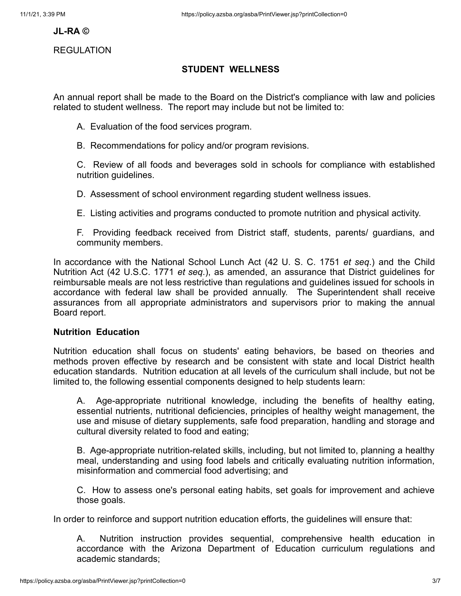#### **JL-RA ©**

#### REGULATION

## **STUDENT WELLNESS**

An annual report shall be made to the Board on the District's compliance with law and policies related to student wellness. The report may include but not be limited to:

A. Evaluation of the food services program.

B. Recommendations for policy and/or program revisions.

C. Review of all foods and beverages sold in schools for compliance with established nutrition guidelines.

D. Assessment of school environment regarding student wellness issues.

E. Listing activities and programs conducted to promote nutrition and physical activity.

F. Providing feedback received from District staff, students, parents/ guardians, and community members.

In accordance with the National School Lunch Act (42 U. S. C. 1751 *et seq*.) and the Child Nutrition Act (42 U.S.C. 1771 *et seq*.), as amended, an assurance that District guidelines for reimbursable meals are not less restrictive than regulations and guidelines issued for schools in accordance with federal law shall be provided annually. The Superintendent shall receive assurances from all appropriate administrators and supervisors prior to making the annual Board report.

#### **Nutrition Education**

Nutrition education shall focus on students' eating behaviors, be based on theories and methods proven effective by research and be consistent with state and local District health education standards. Nutrition education at all levels of the curriculum shall include, but not be limited to, the following essential components designed to help students learn:

A. Age-appropriate nutritional knowledge, including the benefits of healthy eating, essential nutrients, nutritional deficiencies, principles of healthy weight management, the use and misuse of dietary supplements, safe food preparation, handling and storage and cultural diversity related to food and eating;

B. Age-appropriate nutrition-related skills, including, but not limited to, planning a healthy meal, understanding and using food labels and critically evaluating nutrition information, misinformation and commercial food advertising; and

C. How to assess one's personal eating habits, set goals for improvement and achieve those goals.

In order to reinforce and support nutrition education efforts, the guidelines will ensure that:

A. Nutrition instruction provides sequential, comprehensive health education in accordance with the Arizona Department of Education curriculum regulations and academic standards;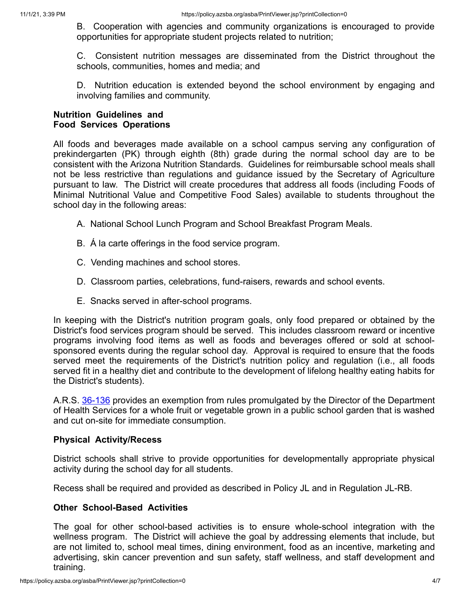B. Cooperation with agencies and community organizations is encouraged to provide opportunities for appropriate student projects related to nutrition;

C. Consistent nutrition messages are disseminated from the District throughout the schools, communities, homes and media; and

D. Nutrition education is extended beyond the school environment by engaging and involving families and community.

#### **Nutrition Guidelines and Food Services Operations**

All foods and beverages made available on a school campus serving any configuration of prekindergarten (PK) through eighth (8th) grade during the normal school day are to be consistent with the Arizona Nutrition Standards. Guidelines for reimbursable school meals shall not be less restrictive than regulations and guidance issued by the Secretary of Agriculture pursuant to law. The District will create procedures that address all foods (including Foods of Minimal Nutritional Value and Competitive Food Sales) available to students throughout the school day in the following areas:

- A. National School Lunch Program and School Breakfast Program Meals.
- B. Á la carte offerings in the food service program.
- C. Vending machines and school stores.
- D. Classroom parties, celebrations, fund-raisers, rewards and school events.
- E. Snacks served in after-school programs.

In keeping with the District's nutrition program goals, only food prepared or obtained by the District's food services program should be served. This includes classroom reward or incentive programs involving food items as well as foods and beverages offered or sold at schoolsponsored events during the regular school day. Approval is required to ensure that the foods served meet the requirements of the District's nutrition policy and regulation (i.e., all foods served fit in a healthy diet and contribute to the development of lifelong healthy eating habits for the District's students).

A.R.S. [36-136](http://www.azleg.gov/FormatDocument.asp?inDoc=/ars/36/00136.htm&Title=36&DocType=ARS) provides an exemption from rules promulgated by the Director of the Department of Health Services for a whole fruit or vegetable grown in a public school garden that is washed and cut on-site for immediate consumption.

#### **Physical Activity/Recess**

District schools shall strive to provide opportunities for developmentally appropriate physical activity during the school day for all students.

Recess shall be required and provided as described in Policy JL and in Regulation JL-RB.

#### **Other School-Based Activities**

The goal for other school-based activities is to ensure whole-school integration with the wellness program. The District will achieve the goal by addressing elements that include, but are not limited to, school meal times, dining environment, food as an incentive, marketing and advertising, skin cancer prevention and sun safety, staff wellness, and staff development and training.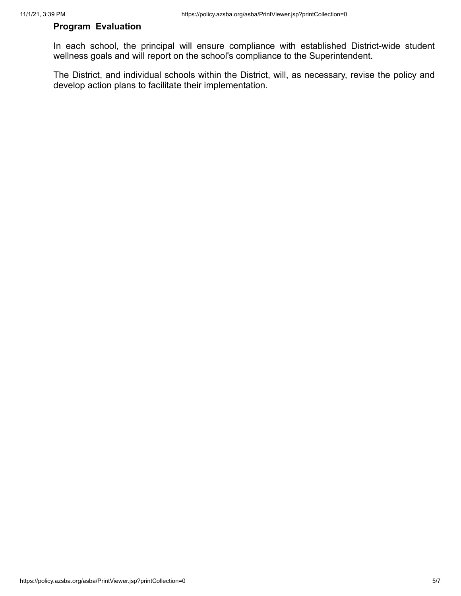## **Program Evaluation**

In each school, the principal will ensure compliance with established District-wide student wellness goals and will report on the school's compliance to the Superintendent.

The District, and individual schools within the District, will, as necessary, revise the policy and develop action plans to facilitate their implementation.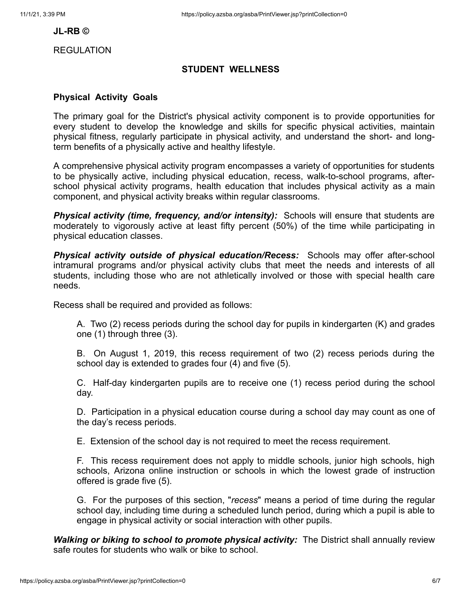#### **JL-RB ©**

REGULATION

#### **STUDENT WELLNESS**

#### **Physical Activity Goals**

The primary goal for the District's physical activity component is to provide opportunities for every student to develop the knowledge and skills for specific physical activities, maintain physical fitness, regularly participate in physical activity, and understand the short- and longterm benefits of a physically active and healthy lifestyle.

A comprehensive physical activity program encompasses a variety of opportunities for students to be physically active, including physical education, recess, walk-to-school programs, afterschool physical activity programs, health education that includes physical activity as a main component, and physical activity breaks within regular classrooms.

*Physical activity (time, frequency, and/or intensity):* Schools will ensure that students are moderately to vigorously active at least fifty percent (50%) of the time while participating in physical education classes.

*Physical activity outside of physical education/Recess:* Schools may offer after-school intramural programs and/or physical activity clubs that meet the needs and interests of all students, including those who are not athletically involved or those with special health care needs.

Recess shall be required and provided as follows:

A. Two (2) recess periods during the school day for pupils in kindergarten (K) and grades one (1) through three (3).

B. On August 1, 2019, this recess requirement of two (2) recess periods during the school day is extended to grades four (4) and five (5).

C. Half-day kindergarten pupils are to receive one (1) recess period during the school day.

D. Participation in a physical education course during a school day may count as one of the day's recess periods.

E. Extension of the school day is not required to meet the recess requirement.

F. This recess requirement does not apply to middle schools, junior high schools, high schools, Arizona online instruction or schools in which the lowest grade of instruction offered is grade five (5).

G. For the purposes of this section, "*recess*" means a period of time during the regular school day, including time during a scheduled lunch period, during which a pupil is able to engage in physical activity or social interaction with other pupils.

*Walking or biking to school to promote physical activity:* The District shall annually review safe routes for students who walk or bike to school.